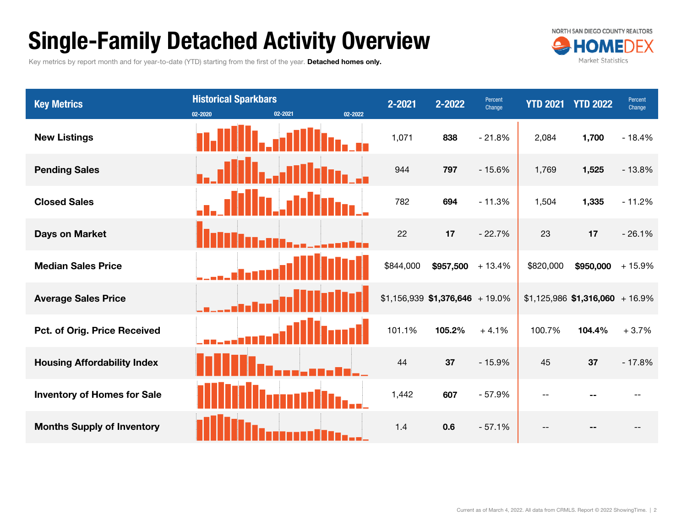# Single-Family Detached Activity Overview

Key metrics by report month and for year-to-date (YTD) starting from the first of the year. Detached homes only.



| <b>Key Metrics</b>                 | <b>Historical Sparkbars</b><br>02-2021<br>02-2022<br>02-2020 | 2-2021    | 2-2022                           | Percent<br>Change | <b>YTD 2021</b> | <b>YTD 2022</b>                  | Percent<br>Change |
|------------------------------------|--------------------------------------------------------------|-----------|----------------------------------|-------------------|-----------------|----------------------------------|-------------------|
| <b>New Listings</b>                |                                                              | 1,071     | 838                              | $-21.8%$          | 2,084           | 1,700                            | $-18.4%$          |
| <b>Pending Sales</b>               |                                                              | 944       | 797                              | $-15.6%$          | 1,769           | 1,525                            | $-13.8%$          |
| <b>Closed Sales</b>                |                                                              | 782       | 694                              | $-11.3%$          | 1,504           | 1,335                            | $-11.2%$          |
| Days on Market                     |                                                              | 22        | 17                               | $-22.7%$          | 23              | 17                               | $-26.1%$          |
| <b>Median Sales Price</b>          |                                                              | \$844,000 | $$957,500 + 13.4\%$              |                   | \$820,000       | \$950,000                        | $+15.9%$          |
| <b>Average Sales Price</b>         |                                                              |           | $$1,156,939$ \$1,376,646 + 19.0% |                   |                 | $$1,125,986$ \$1,316,060 + 16.9% |                   |
| Pct. of Orig. Price Received       |                                                              | 101.1%    | 105.2%                           | $+4.1%$           | 100.7%          | 104.4%                           | $+3.7%$           |
| <b>Housing Affordability Index</b> |                                                              | 44        | 37                               | $-15.9%$          | 45              | 37                               | $-17.8%$          |
| <b>Inventory of Homes for Sale</b> |                                                              | 1,442     | 607                              | $-57.9%$          |                 |                                  |                   |
| <b>Months Supply of Inventory</b>  |                                                              | 1.4       | 0.6                              | $-57.1%$          |                 |                                  |                   |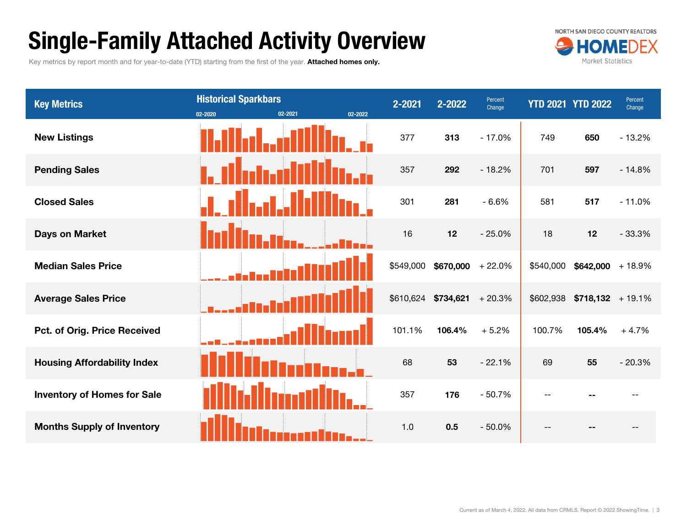# Single-Family Attached Activity Overview

Key metrics by report month and for year-to-date (YTD) starting from the first of the year. Attached homes only.



| <b>Key Metrics</b>                  | <b>Historical Sparkbars</b><br>02-2021<br>02-2022<br>02-2020 | 2-2021    | 2-2022                       | Percent<br>Change |           | <b>YTD 2021 YTD 2022</b> | Percent<br>Change |
|-------------------------------------|--------------------------------------------------------------|-----------|------------------------------|-------------------|-----------|--------------------------|-------------------|
| <b>New Listings</b>                 |                                                              | 377       | 313                          | $-17.0%$          | 749       | 650                      | $-13.2%$          |
| <b>Pending Sales</b>                |                                                              | 357       | 292                          | $-18.2%$          | 701       | 597                      | $-14.8%$          |
| <b>Closed Sales</b>                 |                                                              | 301       | 281                          | $-6.6%$           | 581       | 517                      | $-11.0%$          |
| <b>Days on Market</b>               |                                                              | 16        | 12                           | $-25.0%$          | 18        | 12                       | $-33.3%$          |
| <b>Median Sales Price</b>           |                                                              | \$549,000 | $$670,000 + 22.0\%$          |                   | \$540,000 | $$642,000 + 18.9\%$      |                   |
| <b>Average Sales Price</b>          |                                                              |           | $$610,624$ \$734,621 + 20.3% |                   | \$602,938 | $$718,132$ + 19.1%       |                   |
| <b>Pct. of Orig. Price Received</b> |                                                              | 101.1%    | 106.4%                       | $+5.2%$           | 100.7%    | 105.4%                   | $+4.7%$           |
| <b>Housing Affordability Index</b>  |                                                              | 68        | 53                           | $-22.1%$          | 69        | 55                       | $-20.3%$          |
| <b>Inventory of Homes for Sale</b>  |                                                              | 357       | 176                          | $-50.7%$          | $-$       |                          |                   |
| <b>Months Supply of Inventory</b>   |                                                              | 1.0       | 0.5                          | $-50.0%$          |           |                          |                   |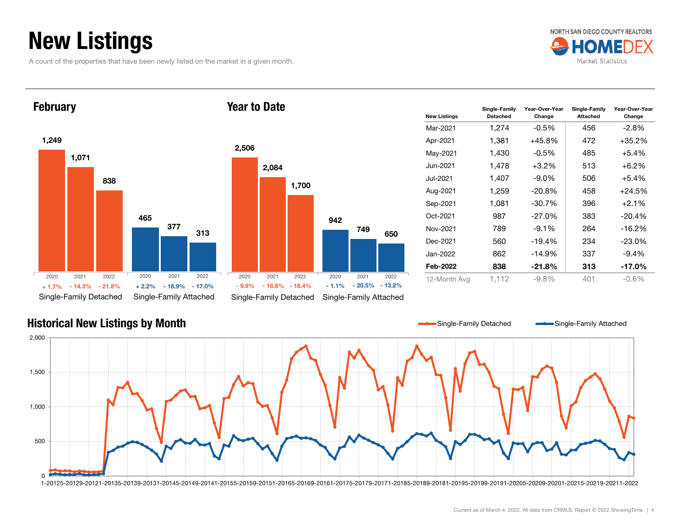# New Listings

A count of the properties that have been newly listed on the market in a given month.







| <b>New Listings</b> | Single-Family<br><b>Detached</b> | Year-Over-Year<br>Change | Single-Family<br><b>Attached</b> | Year-Over-Year<br>Change |
|---------------------|----------------------------------|--------------------------|----------------------------------|--------------------------|
| Mar-2021            | 1,274                            | $-0.5\%$                 | 456                              | $-2.8\%$                 |
| Apr-2021            | 1,381                            | +45.8%                   | 472                              | $+35.2%$                 |
| May-2021            | 1,430                            | $-0.5\%$                 | 485                              | $+5.4%$                  |
| Jun-2021            | 1,478                            | $+3.2%$                  | 513                              | $+6.2%$                  |
| Jul-2021.           | 1,407                            | $-9.0\%$                 | 506                              | $+5.4%$                  |
| Aug-2021            | 1,259                            | $-20.8%$                 | 458                              | $+24.5%$                 |
| Sep-2021            | 1,081                            | $-30.7%$                 | 396                              | $+2.1%$                  |
| Oct-2021            | 987                              | $-27.0\%$                | 383                              | $-20.4%$                 |
| Nov-2021            | 789                              | $-9.1%$                  | 264                              | $-16.2%$                 |
| Dec-2021            | 560                              | $-19.4%$                 | 234                              | $-23.0\%$                |
| Jan-2022.           | 862                              | $-14.9\%$                | 337                              | $-9.4%$                  |
| Feb-2022            | 838                              | -21.8%                   | 313                              | -17.0%                   |
| 12-Month Avg        | 1.112                            | $-9.8%$                  | 401                              | $-0.6%$                  |

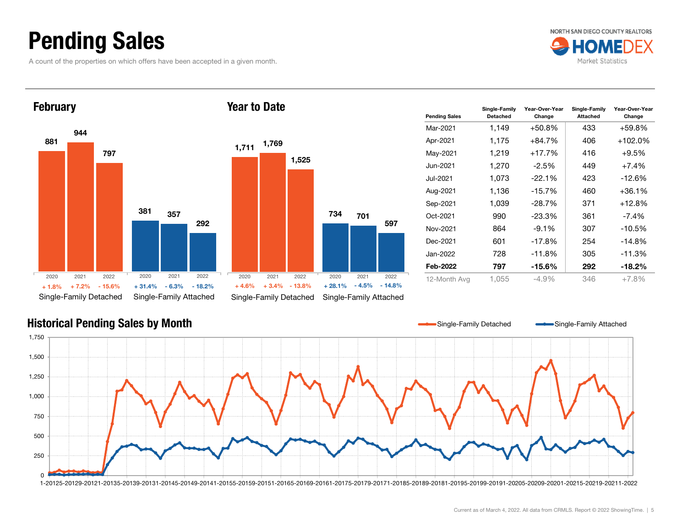# Pending Sales

A count of the properties on which offers have been accepted in a given month.







| <b>Pending Sales</b> | Single-Family<br><b>Detached</b> | Year-Over-Year<br>Change | Single-Family<br><b>Attached</b> | Year-Over-Year<br>Change |
|----------------------|----------------------------------|--------------------------|----------------------------------|--------------------------|
| Mar-2021             | 1,149                            | $+50.8\%$                | 433                              | +59.8%                   |
| Apr-2021             | 1.175                            | $+84.7%$                 | 406                              | $+102.0%$                |
| May-2021             | 1,219                            | $+17.7%$                 | 416                              | $+9.5%$                  |
| Jun-2021             | 1,270                            | $-2.5\%$                 | 449                              | $+7.4%$                  |
| Jul-2021             | 1,073                            | $-22.1%$                 | 423                              | -12.6%                   |
| Aug-2021             | 1,136                            | $-15.7%$                 | 460                              | $+36.1%$                 |
| Sep-2021             | 1,039                            | $-28.7%$                 | 371                              | $+12.8%$                 |
| Oct-2021             | 990                              | $-23.3\%$                | 361                              | -7.4%                    |
| Nov-2021             | 864                              | $-9.1%$                  | 307                              | $-10.5%$                 |
| Dec-2021             | 601                              | $-17.8%$                 | 254                              | $-14.8%$                 |
| Jan-2022             | 728                              | $-11.8%$                 | 305                              | $-11.3%$                 |
| Feb-2022             | 797                              | -15.6%                   | 292                              | -18.2%                   |
| 12-Month Avg         | 1.055                            | -4.9%                    | 346                              | $+7.8%$                  |

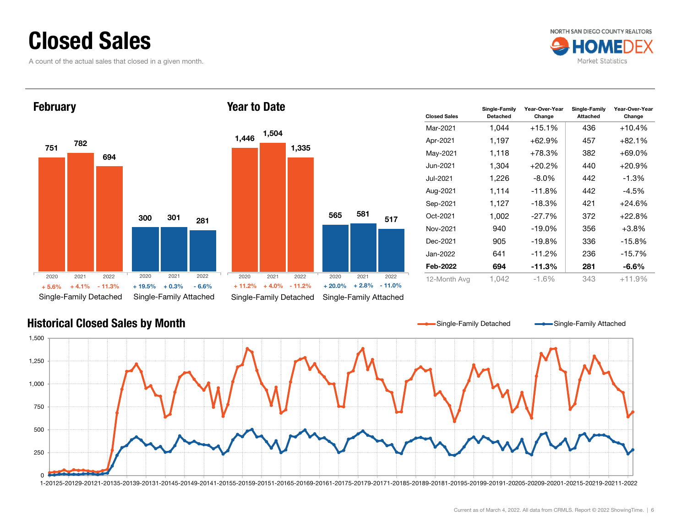### Closed Sales

A count of the actual sales that closed in a given month.







| <b>Closed Sales</b> | Single-Family<br><b>Detached</b> | Year-Over-Year<br>Change | Single-Family<br><b>Attached</b> | Year-Over-Year<br>Change |
|---------------------|----------------------------------|--------------------------|----------------------------------|--------------------------|
| Mar-2021            | 1,044                            | $+15.1%$                 | 436                              | $+10.4%$                 |
| Apr-2021            | 1,197                            | +62.9%                   | 457                              | $+82.1\%$                |
| May-2021            | 1,118                            | $+78.3%$                 | 382                              | $+69.0%$                 |
| Jun-2021            | 1,304                            | $+20.2\%$                | 440                              | $+20.9%$                 |
| Jul-2021            | 1,226                            | $-8.0\%$                 | 442                              | $-1.3%$                  |
| Aug-2021            | 1.114                            | $-11.8%$                 | 442                              | $-4.5%$                  |
| Sep-2021            | 1,127                            | $-18.3%$                 | 421                              | $+24.6%$                 |
| Oct-2021            | 1.002                            | $-27.7%$                 | 372                              | $+22.8%$                 |
| Nov-2021            | 940                              | $-19.0\%$                | 356                              | +3.8%                    |
| Dec-2021            | 905                              | $-19.8\%$                | 336                              | $-15.8\%$                |
| Jan-2022            | 641                              | $-11.2%$                 | 236                              | $-15.7\%$                |
| Feb-2022            | 694                              | $-11.3%$                 | 281                              | -6.6%                    |
| 12-Month Avg        | 1,042                            | $-1.6\%$                 | 343                              | $+11.9%$                 |

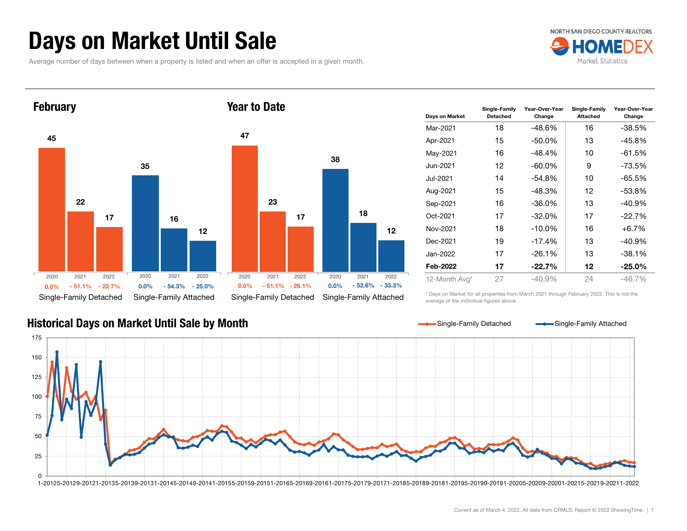# Days on Market Until Sale

Average number of days between when a property is listed and when an offer is accepted in a given month.







| Davs on Market | Single-Family<br><b>Detached</b> | Year-Over-Year<br>Change | Single-Family<br><b>Attached</b> | Year-Over-Year<br>Change |
|----------------|----------------------------------|--------------------------|----------------------------------|--------------------------|
| Mar-2021       | 18                               | $-48.6%$                 | 16                               | -38.5%                   |
| Apr-2021       | 15                               | $-50.0\%$                | 13                               | -45.8%                   |
| May-2021       | 16                               | $-48.4%$                 | 10                               | -61.5%                   |
| Jun-2021       | 12                               | $-60.0\%$                | 9                                | -73.5%                   |
| Jul-2021       | 14                               | $-54.8%$                 | 10                               | -65.5%                   |
| Aug-2021       | 15                               | -48.3%                   | 12                               | $-53.8%$                 |
| Sep-2021       | 16                               | $-36.0\%$                | 13                               | $-40.9%$                 |
| Oct-2021       | 17                               | $-32.0%$                 | 17                               | $-22.7%$                 |
| Nov-2021       | 18                               | $-10.0%$                 | 16                               | $+6.7%$                  |
| Dec-2021       | 19                               | $-17.4%$                 | 13                               | $-40.9%$                 |
| Jan-2022       | 17                               | $-26.1%$                 | 13                               | -38.1%                   |
| Feb-2022       | 17                               | $-22.7%$                 | 12                               | $-25.0\%$                |
| 12-Month Avg*  | 27                               | $-40.9\%$                | 24                               | -46.7%                   |

\* Days on Market for all properties from March 2021 through February 2022. This is not the average of the individual figures above.

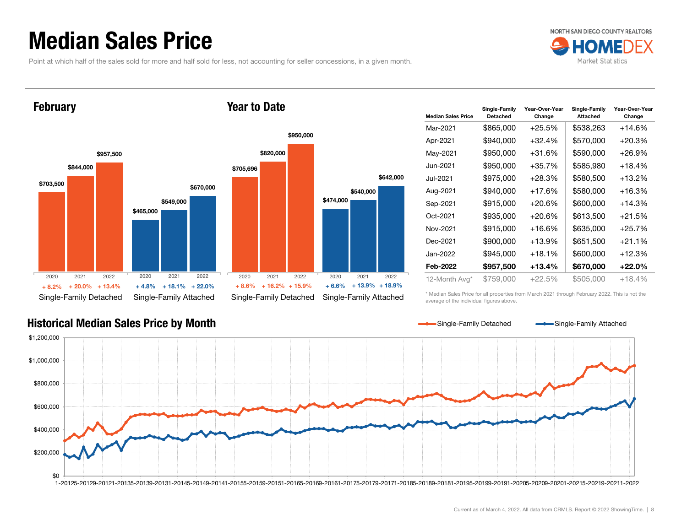### Median Sales Price

Point at which half of the sales sold for more and half sold for less, not accounting for seller concessions, in a given month.



### \$703,500 \$465,000 \$844,000 \$549,000 \$957,500 \$670,000 Single-Family Detached Single-Family Attached February \$705,696 \$820,000 Year to Date2020 2021 2022 $\%$  + 20.0% + 13.4% + 4.8% + 18.1% + 22.0% + 8.6% + 16.2% + 15.9% + 6.6%  $\%$  + 13.4% + 4.8% + 18.1% + 22.0% + 8.6% + 16.2% + 15.9% + 6.6% + 13.9% + 18.9% 20202021 2020 $+8.2%$

|           |           |                        | \$950,000          |           |                        |           |
|-----------|-----------|------------------------|--------------------|-----------|------------------------|-----------|
|           |           | \$820,000              |                    |           |                        |           |
|           | \$705,696 |                        |                    |           |                        |           |
| \$670,000 |           |                        |                    |           |                        | \$642,000 |
|           |           |                        |                    | \$474,000 | \$540,000              |           |
|           |           |                        |                    |           |                        |           |
|           |           |                        |                    |           |                        |           |
|           |           |                        |                    |           |                        |           |
|           |           |                        |                    |           |                        |           |
|           |           |                        |                    |           |                        |           |
| 2022      | 2020      | 2021                   | 2022               | 2020      | 2021                   | 2022      |
| $+22.0%$  | $+8.6%$   |                        | $+16.2\% + 15.9\%$ | $+6.6%$   | + 13.9%                | $+18.9%$  |
| ttached،  |           | Single-Family Detached |                    |           | Single-Family Attached |           |

| <b>Median Sales Price</b> | Single-Family<br><b>Detached</b> | Year-Over-Year<br>Change | Single-Family<br><b>Attached</b> | Year-Over-Year<br>Change |
|---------------------------|----------------------------------|--------------------------|----------------------------------|--------------------------|
| Mar-2021                  | \$865,000                        | $+25.5%$                 | \$538,263                        | $+14.6%$                 |
| Apr-2021                  | \$940,000                        | +32.4%                   | \$570,000                        | $+20.3%$                 |
| May-2021                  | \$950,000                        | +31.6%                   | \$590,000                        | +26.9%                   |
| Jun-2021                  | \$950,000                        | $+35.7%$                 | \$585,980                        | $+18.4%$                 |
| Jul-2021                  | \$975,000                        | +28.3%                   | \$580,500                        | +13.2%                   |
| Aug-2021                  | \$940,000                        | +17.6%                   | \$580,000                        | +16.3%                   |
| Sep-2021                  | \$915,000                        | $+20.6%$                 | \$600,000                        | $+14.3%$                 |
| Oct-2021                  | \$935,000                        | $+20.6%$                 | \$613,500                        | $+21.5%$                 |
| Nov-2021                  | \$915,000                        | $+16.6%$                 | \$635,000                        | $+25.7%$                 |
| Dec-2021                  | \$900,000                        | $+13.9%$                 | \$651,500                        | $+21.1%$                 |
| Jan-2022                  | \$945,000                        | $+18.1%$                 | \$600,000                        | +12.3%                   |
| Feb-2022                  | \$957,500                        | $+13.4%$                 | \$670,000                        | $+22.0\%$                |
| 12-Month Avg*             | \$759,000                        | $+22.5%$                 | \$505,000                        | +18.4%                   |

Historical Median Sales Price by Month

\* Median Sales Price for all properties from March 2021 through February 2022. This is not the average of the individual figures above.

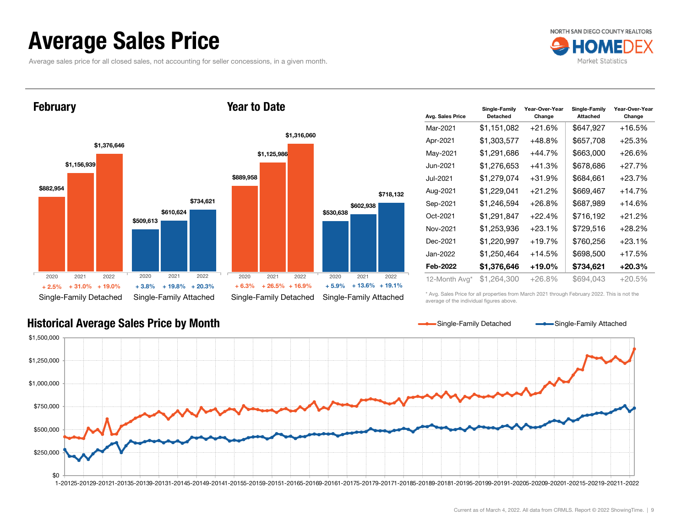### Average Sales Price

Average sales price for all closed sales, not accounting for seller concessions, in a given month.



**February** 

### Year to Date



| Avg. Sales Price | Single-Family<br><b>Detached</b> | Year-Over-Year<br>Change | Single-Family<br><b>Attached</b> | Year-Over-Year<br>Change |
|------------------|----------------------------------|--------------------------|----------------------------------|--------------------------|
| Mar-2021         | \$1,151,082                      | $+21.6%$                 | \$647,927                        | +16.5%                   |
| Apr-2021         | \$1,303,577                      | $+48.8%$                 | \$657,708                        | $+25.3%$                 |
| May-2021         | \$1,291,686                      | +44.7%                   | \$663,000                        | $+26.6%$                 |
| Jun-2021         | \$1,276,653                      | $+41.3%$                 | \$678,686                        | $+27.7%$                 |
| Jul-2021         | \$1,279,074                      | $+31.9%$                 | \$684,661                        | +23.7%                   |
| Aug-2021         | \$1,229,041                      | $+21.2%$                 | \$669,467                        | $+14.7%$                 |
| Sep-2021         | \$1,246,594                      | $+26.8%$                 | \$687,989                        | $+14.6%$                 |
| Oct-2021         | \$1,291,847                      | $+22.4%$                 | \$716,192                        | $+21.2%$                 |
| Nov-2021         | \$1,253,936                      | $+23.1%$                 | \$729,516                        | $+28.2%$                 |
| Dec-2021         | \$1,220,997                      | $+19.7%$                 | \$760,256                        | $+23.1%$                 |
| Jan-2022         | \$1,250,464                      | +14.5%                   | \$698,500                        | $+17.5%$                 |
| Feb-2022         | \$1,376,646                      | +19.0%                   | \$734,621                        | $+20.3%$                 |
| 12-Month Avg*    | \$1,264,300                      | +26.8%                   | \$694,043                        | $+20.5%$                 |

\* Avg. Sales Price for all properties from March 2021 through February 2022. This is not the average of the individual figures above.



### Historical Average Sales Price by Month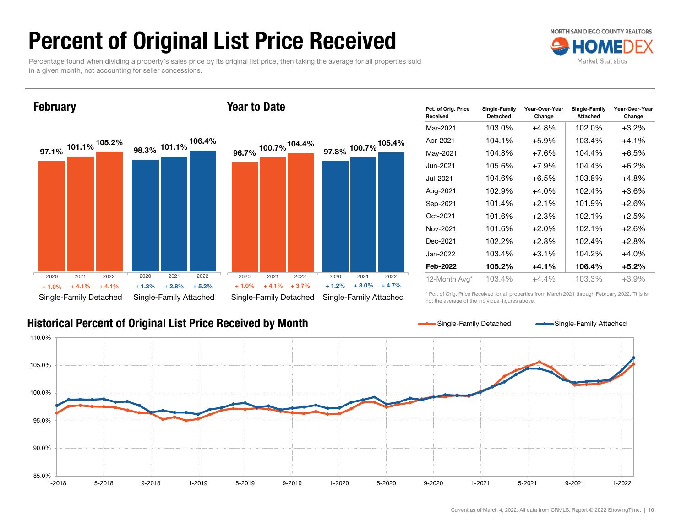# Percent of Original List Price Received

Percentage found when dividing a property's sales price by its original list price, then taking the average for all properties sold in a given month, not accounting for seller concessions.



### **February**

### Year to Date



### Historical Percent of Original List Price Received by Month

| Pct. of Orig. Price<br>Received | Single-Family<br>Detached | Year-Over-Year<br>Change | Single-Family<br><b>Attached</b> | Year-Over-Year<br>Change |
|---------------------------------|---------------------------|--------------------------|----------------------------------|--------------------------|
| Mar-2021                        | 103.0%                    | +4.8%                    | 102.0%                           | $+3.2%$                  |
| Apr-2021                        | 104.1%                    | $+5.9\%$                 | 103.4%                           | $+4.1\%$                 |
| May-2021                        | 104.8%                    | $+7.6%$                  | 104.4%                           | $+6.5%$                  |
| Jun-2021                        | 105.6%                    | $+7.9%$                  | 104.4%                           | $+6.2\%$                 |
| Jul-2021                        | 104.6%                    | $+6.5%$                  | 103.8%                           | +4.8%                    |
| Aug-2021                        | 102.9%                    | $+4.0%$                  | 102.4%                           | $+3.6\%$                 |
| Sep-2021                        | 101.4%                    | $+2.1%$                  | 101.9%                           | $+2.6%$                  |
| Oct-2021                        | 101.6%                    | $+2.3%$                  | 102.1%                           | $+2.5%$                  |
| Nov-2021                        | 101.6%                    | $+2.0%$                  | 102.1%                           | $+2.6%$                  |
| Dec-2021                        | 102.2%                    | $+2.8%$                  | 102.4%                           | $+2.8%$                  |
| Jan-2022                        | 103.4%                    | $+3.1\%$                 | 104.2%                           | $+4.0%$                  |
| Feb-2022                        | 105.2%                    | $+4.1%$                  | 106.4%                           | $+5.2\%$                 |
| 12-Month Avg*                   | 103.4%                    | $+4.4\%$                 | 103.3%                           | $+3.9\%$                 |

\* Pct. of Orig. Price Received for all properties from March 2021 through February 2022. This is not the average of the individual figures above.

Single-Family Detached Single-Family Attached

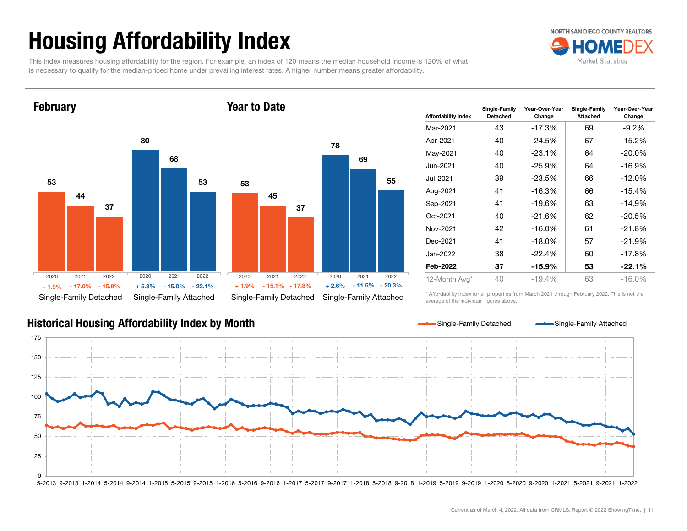# Housing Affordability Index

This index measures housing affordability for the region. For example, an index of 120 means the median household income is 120% of what is necessary to qualify for the median-priced home under prevailing interest rates. A higher number means greater affordability.



**February** 

### Year to Date



| Affordability Index | Single-Family<br><b>Detached</b> | Year-Over-Year<br>Change | Single-Family<br><b>Attached</b> | Year-Over-Year<br>Change |
|---------------------|----------------------------------|--------------------------|----------------------------------|--------------------------|
| Mar-2021            | 43                               | $-17.3%$                 | 69                               | -9.2%                    |
| Apr-2021            | 40                               | $-24.5%$                 | 67                               | $-15.2%$                 |
| May-2021            | 40                               | $-23.1%$                 | 64                               | $-20.0\%$                |
| Jun-2021            | 40                               | $-25.9%$                 | 64                               | $-16.9%$                 |
| Jul-2021            | 39                               | $-23.5%$                 | 66                               | $-12.0\%$                |
| Aug-2021            | 41                               | $-16.3%$                 | 66                               | $-15.4%$                 |
| Sep-2021            | 41                               | $-19.6%$                 | 63                               | $-14.9%$                 |
| Oct-2021            | 40                               | $-21.6%$                 | 62                               | $-20.5%$                 |
| Nov-2021            | 42                               | $-16.0\%$                | 61                               | $-21.8%$                 |
| Dec-2021            | 41                               | $-18.0\%$                | 57                               | $-21.9%$                 |
| Jan-2022            | 38                               | $-22.4%$                 | 60                               | $-17.8%$                 |
| Feb-2022            | 37                               | -15.9%                   | 53                               | $-22.1%$                 |
| 12-Month Avg*       | 40                               | $-19.4%$                 | 63                               | $-16.0%$                 |

\* Affordability Index for all properties from March 2021 through February 2022. This is not the average of the individual figures above.

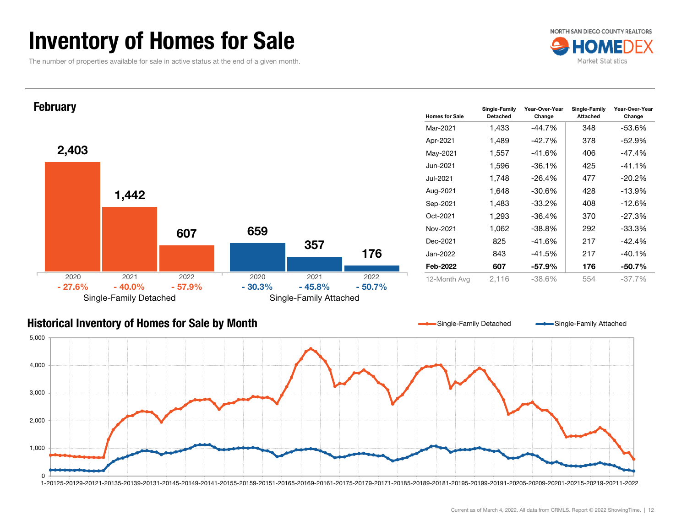### Inventory of Homes for Sale

The number of properties available for sale in active status at the end of a given month.





### Historical Inventory of Homes for Sale by Month  $\Omega$ 1,000 2,000 3,000 4,000 5,000 1-20125-20129-20121-20135-20139-20131-20145-20149-20141-20155-20159-20151-20165-20169-20161-20175-20179-20171-20185-20189-20181-20195-20199-20191-20205-20209-20201-20215-20219-20211-2022 Single-Family Detached Single-Family Attached

Current as of March 4, 2022. All data from CRMLS. Report © 2022 ShowingTime. | 12